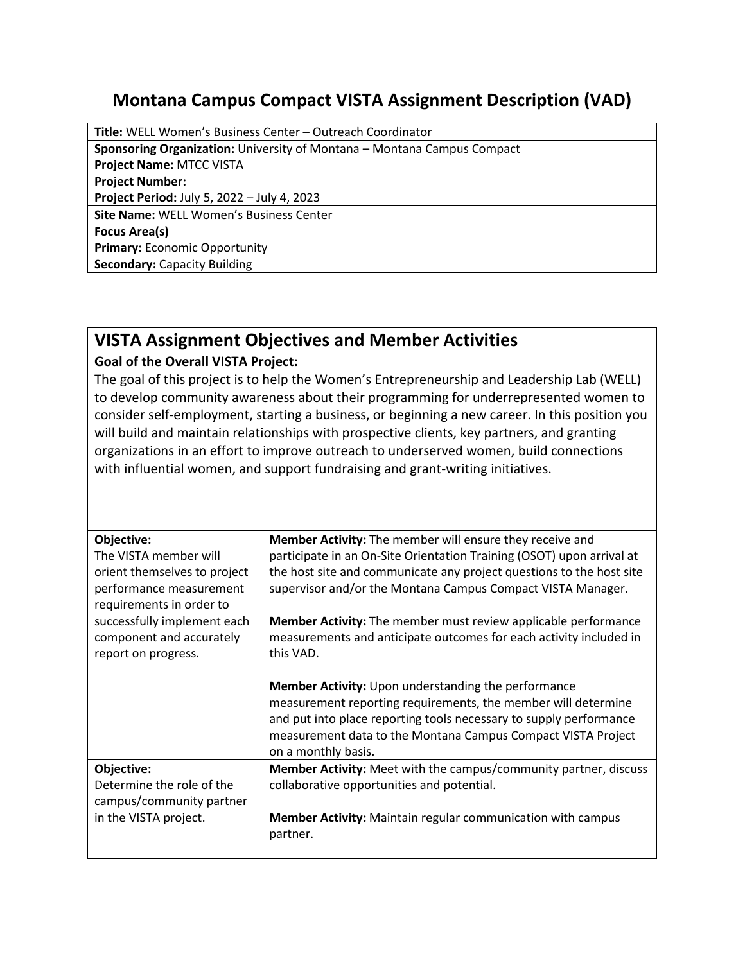## **Montana Campus Compact VISTA Assignment Description (VAD)**

| <b>Title:</b> WELL Women's Business Center – Outreach Coordinator              |  |  |
|--------------------------------------------------------------------------------|--|--|
| <b>Sponsoring Organization:</b> University of Montana – Montana Campus Compact |  |  |
| <b>Project Name: MTCC VISTA</b>                                                |  |  |
| <b>Project Number:</b>                                                         |  |  |
| Project Period: July 5, 2022 - July 4, 2023                                    |  |  |
| Site Name: WELL Women's Business Center                                        |  |  |
| <b>Focus Area(s)</b>                                                           |  |  |
| <b>Primary: Economic Opportunity</b>                                           |  |  |
| <b>Secondary: Capacity Building</b>                                            |  |  |

## **VISTA Assignment Objectives and Member Activities**

## **Goal of the Overall VISTA Project:**

The goal of this project is to help the Women's Entrepreneurship and Leadership Lab (WELL) to develop community awareness about their programming for underrepresented women to consider self-employment, starting a business, or beginning a new career. In this position you will build and maintain relationships with prospective clients, key partners, and granting organizations in an effort to improve outreach to underserved women, build connections with influential women, and support fundraising and grant-writing initiatives.

| Objective:                   | <b>Member Activity:</b> The member will ensure they receive and       |
|------------------------------|-----------------------------------------------------------------------|
| The VISTA member will        | participate in an On-Site Orientation Training (OSOT) upon arrival at |
| orient themselves to project | the host site and communicate any project questions to the host site  |
| performance measurement      | supervisor and/or the Montana Campus Compact VISTA Manager.           |
| requirements in order to     |                                                                       |
| successfully implement each  | Member Activity: The member must review applicable performance        |
| component and accurately     | measurements and anticipate outcomes for each activity included in    |
| report on progress.          | this VAD.                                                             |
|                              |                                                                       |
|                              | Member Activity: Upon understanding the performance                   |
|                              | measurement reporting requirements, the member will determine         |
|                              | and put into place reporting tools necessary to supply performance    |
|                              |                                                                       |
|                              | measurement data to the Montana Campus Compact VISTA Project          |
|                              | on a monthly basis.                                                   |
| Objective:                   | Member Activity: Meet with the campus/community partner, discuss      |
| Determine the role of the    | collaborative opportunities and potential.                            |
| campus/community partner     |                                                                       |
| in the VISTA project.        | <b>Member Activity:</b> Maintain regular communication with campus    |
|                              | partner.                                                              |
|                              |                                                                       |
|                              |                                                                       |